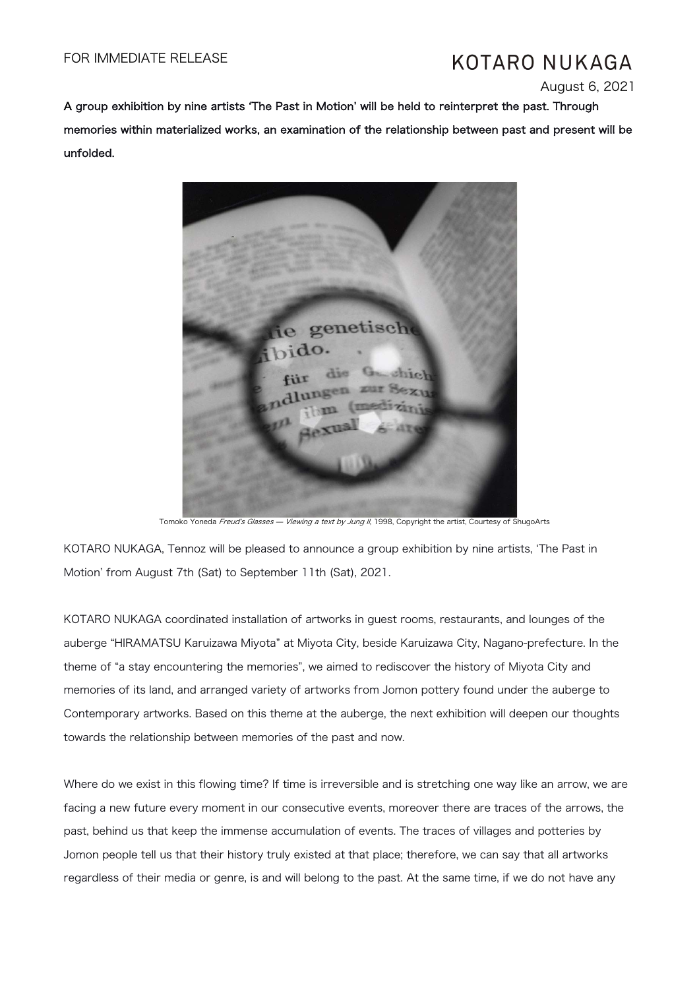# KOTARO NUKAGA

August 6, 2021

A group exhibition by nine artists ʻThe Past in Motion' will be held to reinterpret the past. Through memories within materialized works, an examination of the relationship between past and present will be unfolded.



Tomoko Yoneda *Freud's Glasses — Viewing a text by Jung II*, 1998, Copyright the artist, Courtesy of ShugoArts

KOTARO NUKAGA, Tennoz will be pleased to announce a group exhibition by nine artists, ʻThe Past in Motion' from August 7th (Sat) to September 11th (Sat), 2021.

KOTARO NUKAGA coordinated installation of artworks in guest rooms, restaurants, and lounges of the auberge "HIRAMATSU Karuizawa Miyota" at Miyota City, beside Karuizawa City, Nagano-prefecture. In the theme of "a stay encountering the memories", we aimed to rediscover the history of Miyota City and memories of its land, and arranged variety of artworks from Jomon pottery found under the auberge to Contemporary artworks. Based on this theme at the auberge, the next exhibition will deepen our thoughts towards the relationship between memories of the past and now.

Where do we exist in this flowing time? If time is irreversible and is stretching one way like an arrow, we are facing a new future every moment in our consecutive events, moreover there are traces of the arrows, the past, behind us that keep the immense accumulation of events. The traces of villages and potteries by Jomon people tell us that their history truly existed at that place; therefore, we can say that all artworks regardless of their media or genre, is and will belong to the past. At the same time, if we do not have any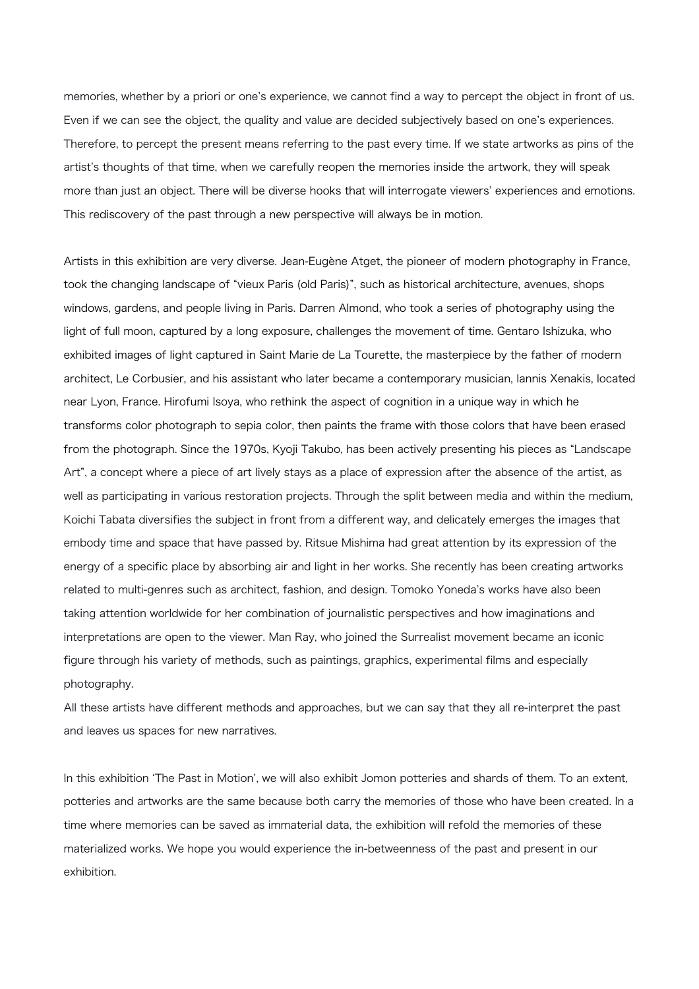memories, whether by a priori or one's experience, we cannot find a way to percept the object in front of us. Even if we can see the object, the quality and value are decided subjectively based on one's experiences. Therefore, to percept the present means referring to the past every time. If we state artworks as pins of the artist's thoughts of that time, when we carefully reopen the memories inside the artwork, they will speak more than just an object. There will be diverse hooks that will interrogate viewers' experiences and emotions. This rediscovery of the past through a new perspective will always be in motion.

Artists in this exhibition are very diverse. Jean-Eugène Atget, the pioneer of modern photography in France, took the changing landscape of "vieux Paris (old Paris)", such as historical architecture, avenues, shops windows, gardens, and people living in Paris. Darren Almond, who took a series of photography using the light of full moon, captured by a long exposure, challenges the movement of time. Gentaro Ishizuka, who exhibited images of light captured in Saint Marie de La Tourette, the masterpiece by the father of modern architect, Le Corbusier, and his assistant who later became a contemporary musician, Iannis Xenakis, located near Lyon, France. Hirofumi Isoya, who rethink the aspect of cognition in a unique way in which he transforms color photograph to sepia color, then paints the frame with those colors that have been erased from the photograph. Since the 1970s, Kyoji Takubo, has been actively presenting his pieces as "Landscape Art", a concept where a piece of art lively stays as a place of expression after the absence of the artist, as well as participating in various restoration projects. Through the split between media and within the medium, Koichi Tabata diversifies the subject in front from a different way, and delicately emerges the images that embody time and space that have passed by. Ritsue Mishima had great attention by its expression of the energy of a specific place by absorbing air and light in her works. She recently has been creating artworks related to multi-genres such as architect, fashion, and design. Tomoko Yoneda's works have also been taking attention worldwide for her combination of journalistic perspectives and how imaginations and interpretations are open to the viewer. Man Ray, who joined the Surrealist movement became an iconic figure through his variety of methods, such as paintings, graphics, experimental films and especially photography.

All these artists have different methods and approaches, but we can say that they all re-interpret the past and leaves us spaces for new narratives.

In this exhibition ʻThe Past in Motion', we will also exhibit Jomon potteries and shards of them. To an extent, potteries and artworks are the same because both carry the memories of those who have been created. In a time where memories can be saved as immaterial data, the exhibition will refold the memories of these materialized works. We hope you would experience the in-betweenness of the past and present in our exhibition.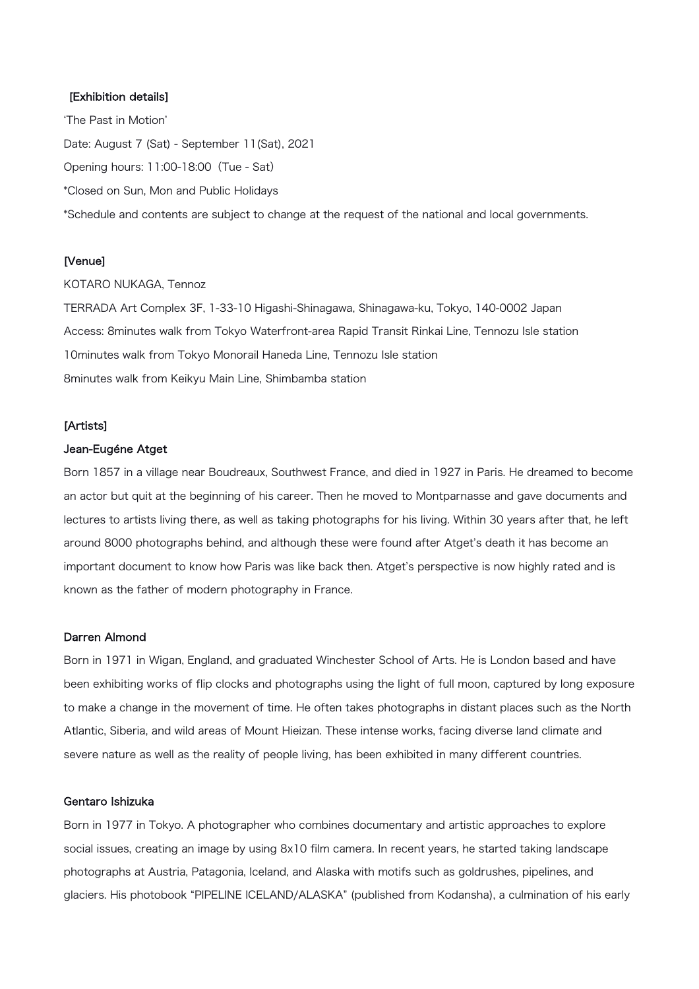## [Exhibition details]

ʻThe Past in Motion' Date: August 7 (Sat) - September 11(Sat), 2021 Opening hours: 11:00-18:00(Tue - Sat) \*Closed on Sun, Mon and Public Holidays \*Schedule and contents are subject to change at the request of the national and local governments.

## [Venue]

KOTARO NUKAGA, Tennoz

TERRADA Art Complex 3F, 1-33-10 Higashi-Shinagawa, Shinagawa-ku, Tokyo, 140-0002 Japan Access: 8minutes walk from Tokyo Waterfront-area Rapid Transit Rinkai Line, Tennozu Isle station 10minutes walk from Tokyo Monorail Haneda Line, Tennozu Isle station 8minutes walk from Keikyu Main Line, Shimbamba station

#### [Artists]

#### Jean-Eugéne Atget

Born 1857 in a village near Boudreaux, Southwest France, and died in 1927 in Paris. He dreamed to become an actor but quit at the beginning of his career. Then he moved to Montparnasse and gave documents and lectures to artists living there, as well as taking photographs for his living. Within 30 years after that, he left around 8000 photographs behind, and although these were found after Atget's death it has become an important document to know how Paris was like back then. Atget's perspective is now highly rated and is known as the father of modern photography in France.

## Darren Almond

Born in 1971 in Wigan, England, and graduated Winchester School of Arts. He is London based and have been exhibiting works of flip clocks and photographs using the light of full moon, captured by long exposure to make a change in the movement of time. He often takes photographs in distant places such as the North Atlantic, Siberia, and wild areas of Mount Hieizan. These intense works, facing diverse land climate and severe nature as well as the reality of people living, has been exhibited in many different countries.

### Gentaro Ishizuka

Born in 1977 in Tokyo. A photographer who combines documentary and artistic approaches to explore social issues, creating an image by using 8x10 film camera. In recent years, he started taking landscape photographs at Austria, Patagonia, Iceland, and Alaska with motifs such as goldrushes, pipelines, and glaciers. His photobook "PIPELINE ICELAND/ALASKA" (published from Kodansha), a culmination of his early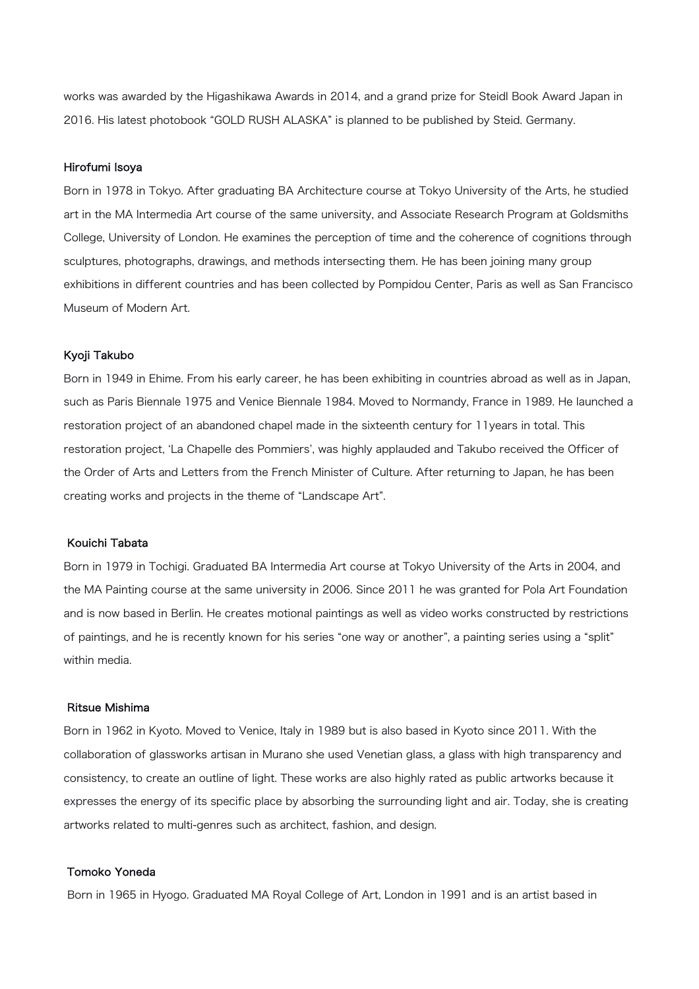works was awarded by the Higashikawa Awards in 2014, and a grand prize for Steidl Book Award Japan in 2016. His latest photobook "GOLD RUSH ALASKA" is planned to be published by Steid. Germany.

#### Hirofumi Isoya

Born in 1978 in Tokyo. After graduating BA Architecture course at Tokyo University of the Arts, he studied art in the MA Intermedia Art course of the same university, and Associate Research Program at Goldsmiths College, University of London. He examines the perception of time and the coherence of cognitions through sculptures, photographs, drawings, and methods intersecting them. He has been joining many group exhibitions in different countries and has been collected by Pompidou Center, Paris as well as San Francisco Museum of Modern Art.

#### Kyoji Takubo

Born in 1949 in Ehime. From his early career, he has been exhibiting in countries abroad as well as in Japan, such as Paris Biennale 1975 and Venice Biennale 1984. Moved to Normandy, France in 1989. He launched a restoration project of an abandoned chapel made in the sixteenth century for 11years in total. This restoration project, ʻLa Chapelle des Pommiers', was highly applauded and Takubo received the Officer of the Order of Arts and Letters from the French Minister of Culture. After returning to Japan, he has been creating works and projects in the theme of "Landscape Art".

## Kouichi Tabata

Born in 1979 in Tochigi. Graduated BA Intermedia Art course at Tokyo University of the Arts in 2004, and the MA Painting course at the same university in 2006. Since 2011 he was granted for Pola Art Foundation and is now based in Berlin. He creates motional paintings as well as video works constructed by restrictions of paintings, and he is recently known for his series "one way or another", a painting series using a "split" within media.

## Ritsue Mishima

Born in 1962 in Kyoto. Moved to Venice, Italy in 1989 but is also based in Kyoto since 2011. With the collaboration of glassworks artisan in Murano she used Venetian glass, a glass with high transparency and consistency, to create an outline of light. These works are also highly rated as public artworks because it expresses the energy of its specific place by absorbing the surrounding light and air. Today, she is creating artworks related to multi-genres such as architect, fashion, and design.

## Tomoko Yoneda

Born in 1965 in Hyogo. Graduated MA Royal College of Art, London in 1991 and is an artist based in